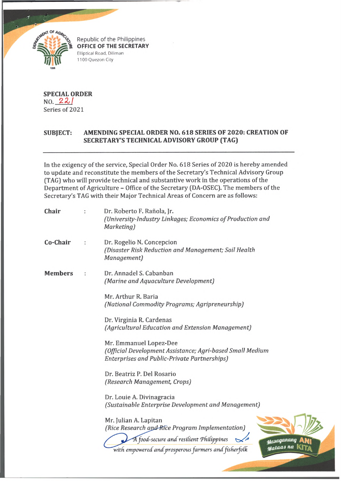

Republic of the Philippines **OFFICE OF THE SECRETARY** Elliptical Road. Diliman 1100 Quezon City

**SPECIAL ORDER**  $NO. 22/$ Series of 2021

## **SUBJECT: AMENDING SPECIAL ORDER NO. 618 SERIES OF 2020: CREATION OF SECRETARY'S TECHNICAL ADVISORY GROUP (TAG)**

In the exigency of the service, Special Order No. 618 Series of 2020 is hereby amended to update and reconstitute the members of the Secretary's Technical Advisory Group (TAG) who will provide technical and substantive work in the operations of the Department of Agriculture - Office of the Secretary (DA-OSEC). The members of the Secretary's TAG with their Major Technical Areas of Concern are as follows:

| Chair          | Dr. Roberto F. Rañola, Jr.<br>(University-Industry Linkages; Economics of Production and<br>Marketing)                              |
|----------------|-------------------------------------------------------------------------------------------------------------------------------------|
| Co-Chair       | Dr. Rogelio N. Concepcion<br>(Disaster Risk Reduction and Management; Soil Health<br>Management)                                    |
| <b>Members</b> | Dr. Annadel S. Cabanban<br>(Marine and Aquaculture Development)                                                                     |
|                | Mr. Arthur R. Baria<br>(National Commodity Programs; Agripreneurship)                                                               |
|                | Dr. Virginia R. Cardenas<br>(Agricultural Education and Extension Management)                                                       |
|                | Mr. Emmanuel Lopez-Dee<br>(Official Development Assistance; Agri-based Small Medium<br>Enterprises and Public-Private Partnerships) |
|                | Dr. Beatriz P. Del Rosario<br>(Research Management, Crops)                                                                          |
|                | Dr. Louie A. Divinagracia<br>(Sustainable Enterprise Development and Management)                                                    |
|                | Mr. Julian A. Lapitan<br>(Rice Research and Rice Program Implementation)<br>A food-secure and resilient Philippines<br>stasaganang  |
|                | Mataas na<br>with empowered and prosperous farmers and fisherfolk                                                                   |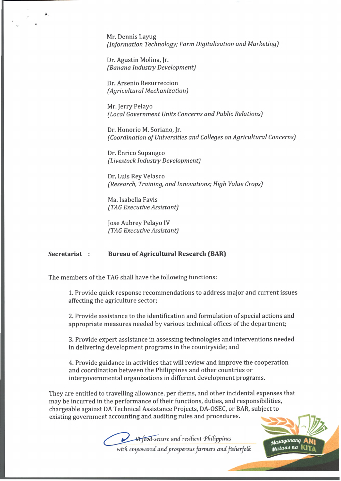Mr. Dennis Layug *(Information Technology; Farm Digitalization and Marketing)*

Dr. Agustin Molina, Jr. *(Banana Industry Development)*

Dr. Arsenio Resurreccion *(Agricultural Mechanization)*

Mr. Jerry Pelayo *(Local Government Units Concerns and Public Relations)*

Dr. Honorio M. Soriano, Jr. *(Coordination of Universities and Colleges on Agricultural Concerns)* 

Dr. Enrico Supangco *(Livestock Industry Development)*

Dr. Luis Rey Velasco *(Research, Training, and Innovations; High Value Crops)*

Ma. Isabella Favis *(TAG Executive Assistant)*

Jose Aubrey Pelayo IV *(TAG Executive Assistant)*

## **Secretariat : Bureau of Agricultural Research (BAR)**

The members of the TAG shall have the following functions:

1. Provide quick response recommendations to address major and current issues affecting the agriculture sector;

2. Provide assistance to the identification and formulation of special actions and appropriate measures needed by various technical offices of the department;

3. Provide expert assistance in assessing technologies and interventions needed in delivering development programs in the countryside; and

4. Provide guidance in activities that will review and improve the cooperation and coordination between the Philippines and other countries or intergovernmental organizations in different development programs.

They are entitled to travelling allowance, per diems, and other incidental expenses that may be incurred in the performance of their functions, duties, and responsibilities, chargeable against DA Technical Assistance Projects, DA-OSEC, or BAR, subject to existing government accounting and auditing rules and procedures.



**Masaganang** <sub>ualaas na</sub>

with empowered and prosperous farmers and fisherfolk